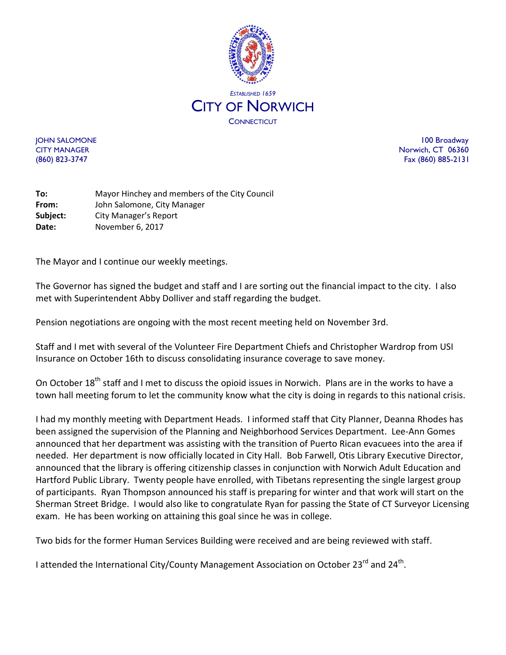

JOHN SALOMONE 100 Broadway CITY MANAGER Norwich, CT 06360 (860) 823-3747 Fax (860) 885-2131

**To:** Mayor Hinchey and members of the City Council **From:** John Salomone, City Manager **Subject:** City Manager's Report **Date:** November 6, 2017

The Mayor and I continue our weekly meetings.

The Governor has signed the budget and staff and I are sorting out the financial impact to the city. I also met with Superintendent Abby Dolliver and staff regarding the budget.

Pension negotiations are ongoing with the most recent meeting held on November 3rd.

Staff and I met with several of the Volunteer Fire Department Chiefs and Christopher Wardrop from USI Insurance on October 16th to discuss consolidating insurance coverage to save money.

On October 18<sup>th</sup> staff and I met to discuss the opioid issues in Norwich. Plans are in the works to have a town hall meeting forum to let the community know what the city is doing in regards to this national crisis.

I had my monthly meeting with Department Heads. I informed staff that City Planner, Deanna Rhodes has been assigned the supervision of the Planning and Neighborhood Services Department. Lee-Ann Gomes announced that her department was assisting with the transition of Puerto Rican evacuees into the area if needed. Her department is now officially located in City Hall. Bob Farwell, Otis Library Executive Director, announced that the library is offering citizenship classes in conjunction with Norwich Adult Education and Hartford Public Library. Twenty people have enrolled, with Tibetans representing the single largest group of participants. Ryan Thompson announced his staff is preparing for winter and that work will start on the Sherman Street Bridge. I would also like to congratulate Ryan for passing the State of CT Surveyor Licensing exam. He has been working on attaining this goal since he was in college.

Two bids for the former Human Services Building were received and are being reviewed with staff.

I attended the International City/County Management Association on October 23<sup>rd</sup> and 24<sup>th</sup>.